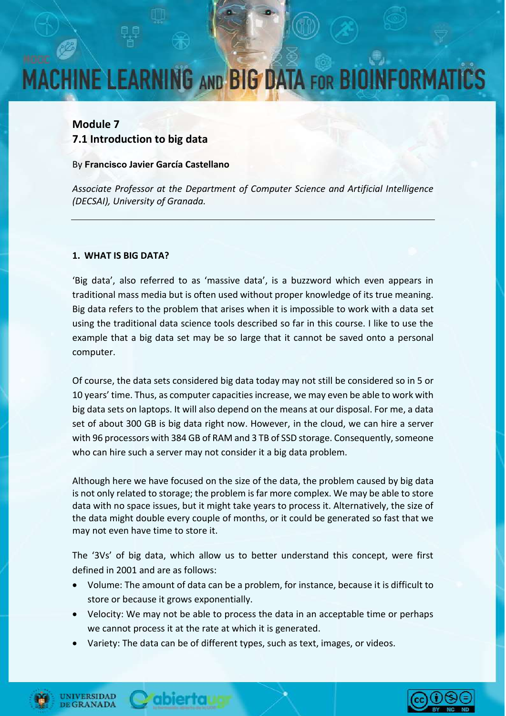# **MACHINE LEARNING AND BIG DATA FOR BIOINFORMA**

### **Module 7 7.1 Introduction to big data**

#### By **Francisco Javier García Castellano**

*Associate Professor at the Department of Computer Science and Artificial Intelligence (DECSAI), University of Granada.*

#### **1. WHAT IS BIG DATA?**

'Big data', also referred to as 'massive data', is a buzzword which even appears in traditional mass media but is often used without proper knowledge of its true meaning. Big data refers to the problem that arises when it is impossible to work with a data set using the traditional data science tools described so far in this course. I like to use the example that a big data set may be so large that it cannot be saved onto a personal computer.

Of course, the data sets considered big data today may not still be considered so in 5 or 10 years' time. Thus, as computer capacities increase, we may even be able to work with big data sets on laptops. It will also depend on the means at our disposal. For me, a data set of about 300 GB is big data right now. However, in the cloud, we can hire a server with 96 processors with 384 GB of RAM and 3 TB of SSD storage. Consequently, someone who can hire such a server may not consider it a big data problem.

Although here we have focused on the size of the data, the problem caused by big data is not only related to storage; the problem is far more complex. We may be able to store data with no space issues, but it might take years to process it. Alternatively, the size of the data might double every couple of months, or it could be generated so fast that we may not even have time to store it.

The '3Vs' of big data, which allow us to better understand this concept, were first defined in 2001 and are as follows:

- Volume: The amount of data can be a problem, for instance, because it is difficult to store or because it grows exponentially.
- Velocity: We may not be able to process the data in an acceptable time or perhaps we cannot process it at the rate at which it is generated.
- Variety: The data can be of different types, such as text, images, or videos.



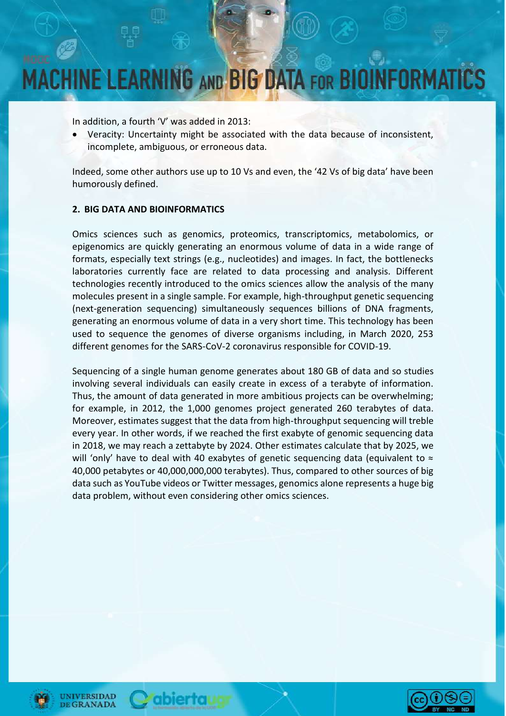# **MACHINE LEARNING AND BIG DATA FOR BIOINFORMA**

In addition, a fourth 'V' was added in 2013:

• Veracity: Uncertainty might be associated with the data because of inconsistent, incomplete, ambiguous, or erroneous data.

Indeed, some other authors use up to 10 Vs and even, the '42 Vs of big data' have been humorously defined.

#### **2. BIG DATA AND BIOINFORMATICS**

Omics sciences such as genomics, proteomics, transcriptomics, metabolomics, or epigenomics are quickly generating an enormous volume of data in a wide range of formats, especially text strings (e.g., nucleotides) and images. In fact, the bottlenecks laboratories currently face are related to data processing and analysis. Different technologies recently introduced to the omics sciences allow the analysis of the many molecules present in a single sample. For example, high-throughput genetic sequencing (next-generation sequencing) simultaneously sequences billions of DNA fragments, generating an enormous volume of data in a very short time. This technology has been used to sequence the genomes of diverse organisms including, in March 2020, 253 different genomes for the SARS-CoV-2 coronavirus responsible for COVID-19.

Sequencing of a single human genome generates about 180 GB of data and so studies involving several individuals can easily create in excess of a terabyte of information. Thus, the amount of data generated in more ambitious projects can be overwhelming; for example, in 2012, the 1,000 genomes project generated 260 terabytes of data. Moreover, estimates suggest that the data from high-throughput sequencing will treble every year. In other words, if we reached the first exabyte of genomic sequencing data in 2018, we may reach a zettabyte by 2024. Other estimates calculate that by 2025, we will 'only' have to deal with 40 exabytes of genetic sequencing data (equivalent to ≈ 40,000 petabytes or 40,000,000,000 terabytes). Thus, compared to other sources of big data such as YouTube videos or Twitter messages, genomics alone represents a huge big data problem, without even considering other omics sciences.





*<u>Cabiertaug</u>* 

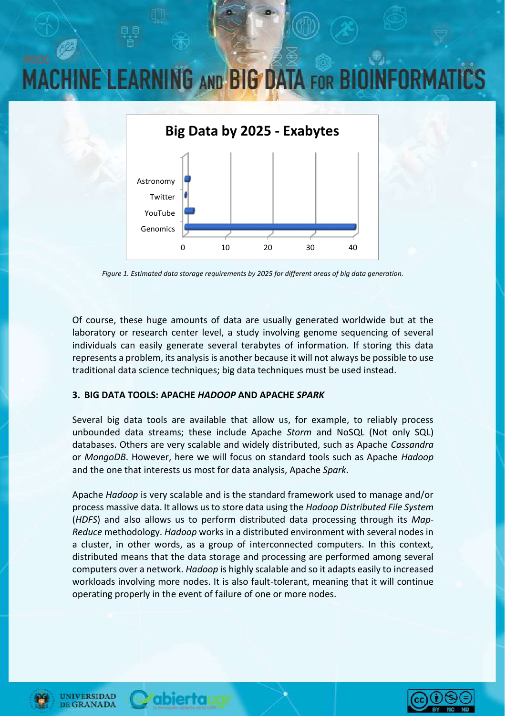### **MACHINE LEARNING AND BIG DATA FOR BIOINFORM**



*Figure 1. Estimated data storage requirements by 2025 for different areas of big data generation.*

Of course, these huge amounts of data are usually generated worldwide but at the laboratory or research center level, a study involving genome sequencing of several individuals can easily generate several terabytes of information. If storing this data represents a problem, its analysis is another because it will not always be possible to use traditional data science techniques; big data techniques must be used instead.

#### **3. BIG DATA TOOLS: APACHE** *HADOOP* **AND APACHE** *SPARK*

abiertaua

Several big data tools are available that allow us, for example, to reliably process unbounded data streams; these include Apache *Storm* and NoSQL (Not only SQL) databases. Others are very scalable and widely distributed, such as Apache *Cassandra* or *MongoDB*. However, here we will focus on standard tools such as Apache *Hadoop* and the one that interests us most for data analysis, Apache *Spark*.

Apache *Hadoop* is very scalable and is the standard framework used to manage and/or process massive data. It allows us to store data using the *Hadoop Distributed File System* (*HDFS*) and also allows us to perform distributed data processing through its *Map-Reduce* methodology. *Hadoop* works in a distributed environment with several nodes in a cluster, in other words, as a group of interconnected computers. In this context, distributed means that the data storage and processing are performed among several computers over a network. *Hadoop* is highly scalable and so it adapts easily to increased workloads involving more nodes. It is also fault-tolerant, meaning that it will continue operating properly in the event of failure of one or more nodes.





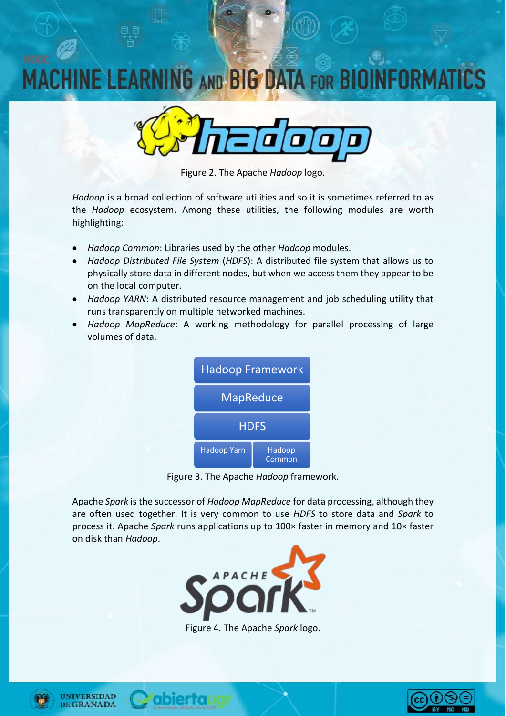### **INE LEARNING AND BIG DATA FOR BIOI**



Figure 2. The Apache *Hadoop* logo.

*Hadoop* is a broad collection of software utilities and so it is sometimes referred to as the *Hadoop* ecosystem. Among these utilities, the following modules are worth highlighting:

- *Hadoop Common*: Libraries used by the other *Hadoop* modules.
- *Hadoop Distributed File System* (*HDFS*): A distributed file system that allows us to physically store data in different nodes, but when we access them they appear to be on the local computer.
- *Hadoop YARN*: A distributed resource management and job scheduling utility that runs transparently on multiple networked machines.
- *Hadoop MapReduce*: A working methodology for parallel processing of large volumes of data.



Figure 3. The Apache *Hadoop* framework.

Apache *Spark* is the successor of *Hadoop MapReduce* for data processing, although they are often used together. It is very common to use *HDFS* to store data and *Spark* to process it. Apache *Spark* runs applications up to 100× faster in memory and 10× faster on disk than *Hadoop*.



Figure 4. The Apache *Spark* logo.





abiertaug

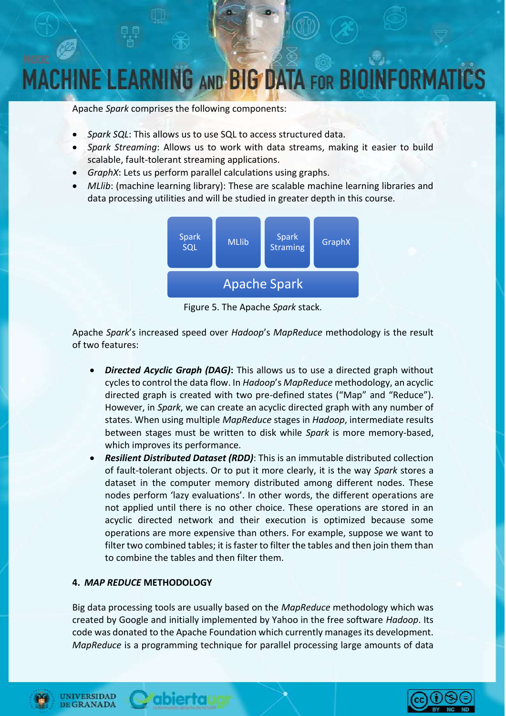## **MACHINE LEARNING AND BIG DATA FOR BIOINFORM**

Apache *Spark* comprises the following components:

- *Spark SQL*: This allows us to use SQL to access structured data.
- *Spark Streaming*: Allows us to work with data streams, making it easier to build scalable, fault-tolerant streaming applications.
- *GraphX*: Lets us perform parallel calculations using graphs.
- *MLlib*: (machine learning library): These are scalable machine learning libraries and data processing utilities and will be studied in greater depth in this course.



Figure 5. The Apache *Spark* stack.

Apache *Spark*'s increased speed over *Hadoop*'s *MapReduce* methodology is the result of two features:

- *Directed Acyclic Graph (DAG)***:** This allows us to use a directed graph without cycles to control the data flow. In *Hadoop*'s *MapReduce* methodology, an acyclic directed graph is created with two pre-defined states ("Map" and "Reduce"). However, in *Spark*, we can create an acyclic directed graph with any number of states. When using multiple *MapReduce* stages in *Hadoop*, intermediate results between stages must be written to disk while *Spark* is more memory-based, which improves its performance.
- *Resilient Distributed Dataset (RDD)*: This is an immutable distributed collection of fault-tolerant objects. Or to put it more clearly, it is the way *Spark* stores a dataset in the computer memory distributed among different nodes. These nodes perform 'lazy evaluations'. In other words, the different operations are not applied until there is no other choice. These operations are stored in an acyclic directed network and their execution is optimized because some operations are more expensive than others. For example, suppose we want to filter two combined tables; it is faster to filter the tables and then join them than to combine the tables and then filter them.

### **4.** *MAP REDUCE* **METHODOLOGY**

Big data processing tools are usually based on the *MapReduce* methodology which was created by Google and initially implemented by Yahoo in the free software *Hadoop*. Its code was donated to the Apache Foundation which currently manages its development. *MapReduce* is a programming technique for parallel processing large amounts of data



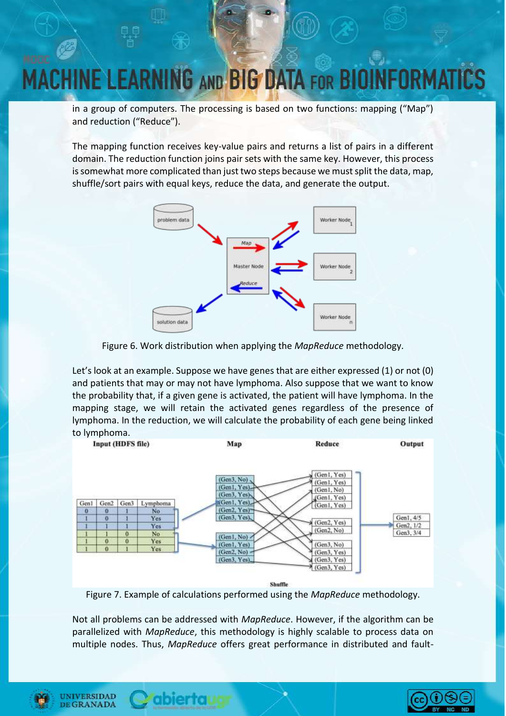### **NE LEARNING AND BIG DATA FOR BIO**

in a group of computers. The processing is based on two functions: mapping ("Map") and reduction ("Reduce").

The mapping function receives key-value pairs and returns a list of pairs in a different domain. The reduction function joins pair sets with the same key. However, this process is somewhat more complicated than just two steps because we must split the data, map, shuffle/sort pairs with equal keys, reduce the data, and generate the output.





Let's look at an example. Suppose we have genes that are either expressed (1) or not (0) and patients that may or may not have lymphoma. Also suppose that we want to know the probability that, if a given gene is activated, the patient will have lymphoma. In the mapping stage, we will retain the activated genes regardless of the presence of lymphoma. In the reduction, we will calculate the probability of each gene being linked



Shuffle

Figure 7. Example of calculations performed using the *MapReduce* methodology.

Not all problems can be addressed with *MapReduce*. However, if the algorithm can be parallelized with *MapReduce*, this methodology is highly scalable to process data on multiple nodes. Thus, *MapReduce* offers great performance in distributed and fault-



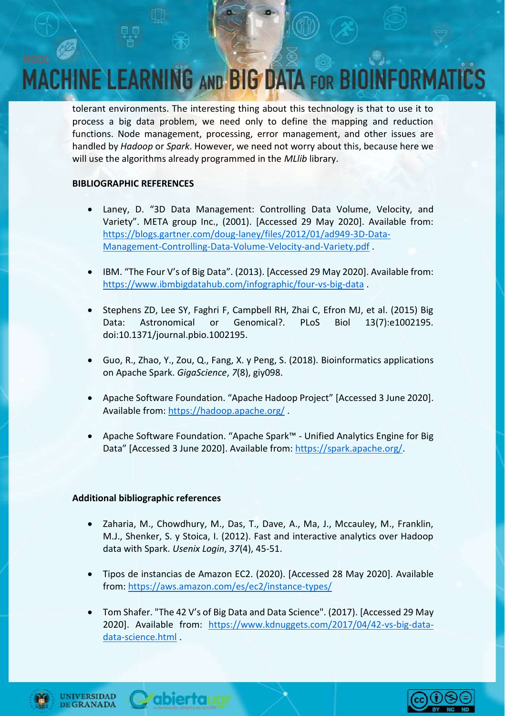### CHINE LEARNING AND BIG DATA FOR BIOINFORM

tolerant environments. The interesting thing about this technology is that to use it to process a big data problem, we need only to define the mapping and reduction functions. Node management, processing, error management, and other issues are handled by *Hadoop* or *Spark*. However, we need not worry about this, because here we will use the algorithms already programmed in the *MLlib* library.

#### **BIBLIOGRAPHIC REFERENCES**

- Laney, D. "3D Data Management: Controlling Data Volume, Velocity, and Variety". META group Inc., (2001). [Accessed 29 May 2020]. Available from: [https://blogs.gartner.com/doug-laney/files/2012/01/ad949-3D-Data-](https://blogs.gartner.com/doug-laney/files/2012/01/ad949-3D-Data-Management-Controlling-Data-Volume-Velocity-and-Variety.pdf)[Management-Controlling-Data-Volume-Velocity-and-Variety.pdf](https://blogs.gartner.com/doug-laney/files/2012/01/ad949-3D-Data-Management-Controlling-Data-Volume-Velocity-and-Variety.pdf) .
- IBM. "The Four V's of Big Data". (2013). [Accessed 29 May 2020]. Available from: <https://www.ibmbigdatahub.com/infographic/four-vs-big-data> .
- Stephens ZD, Lee SY, Faghri F, Campbell RH, Zhai C, Efron MJ, et al. (2015) Big Data: Astronomical or Genomical?. PLoS Biol 13(7):e1002195. doi:10.1371/journal.pbio.1002195.
- Guo, R., Zhao, Y., Zou, Q., Fang, X. y Peng, S. (2018). Bioinformatics applications on Apache Spark. *GigaScience*, *7*(8), giy098.
- Apache Software Foundation. "Apache Hadoop Project" [Accessed 3 June 2020]. Available from:<https://hadoop.apache.org/>.
- Apache Software Foundation. "Apache Spark™ Unified Analytics Engine for Big Data" [Accessed 3 June 2020]. Available from: [https://spark.apache.org/.](https://spark.apache.org/)

### **Additional bibliographic references**

- Zaharia, M., Chowdhury, M., Das, T., Dave, A., Ma, J., Mccauley, M., Franklin, M.J., Shenker, S. y Stoica, I. (2012). Fast and interactive analytics over Hadoop data with Spark. *Usenix Login*, *37*(4), 45-51.
- Tipos de instancias de Amazon EC2. (2020). [Accessed 28 May 2020]. Available from[: https://aws.amazon.com/es/ec2/instance-types/](https://aws.amazon.com/es/ec2/instance-types/)
- Tom Shafer. "The 42 V's of Big Data and Data Science". (2017). [Accessed 29 May 2020]. Available from: [https://www.kdnuggets.com/2017/04/42-vs-big-data](https://www.kdnuggets.com/2017/04/42-vs-big-data-data-science.html)[data-science.html](https://www.kdnuggets.com/2017/04/42-vs-big-data-data-science.html) .



**INIVERSIDAD GRANADA**